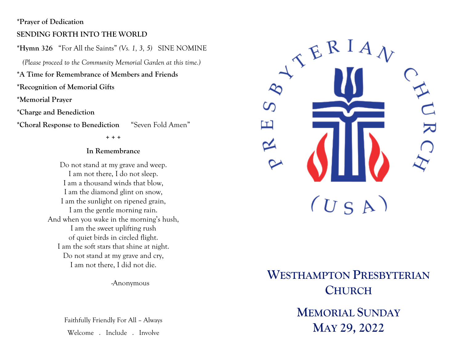#### **\*Prayer of Dedication**

#### **SENDING FORTH INTO THE WORLD**

**\*Hymn 326** "For All the Saints" *(Vs. 1, 3, 5)* SINE NOMINE

 *(Please proceed to the Community Memorial Garden at this time.)*

**\*A Time for Remembrance of Members and Friends** 

**\*Recognition of Memorial Gifts**

**\*Memorial Prayer** 

**\*Charge and Benediction** 

**\*Choral Response to Benediction** "Seven Fold Amen"

**+ + +**

#### **In Remembrance**

Do not stand at my grave and weep. I am not there, I do not sleep. I am a thousand winds that blow, I am the diamond glint on snow, I am the sunlight on ripened grain, I am the gentle morning rain. And when you wake in the morning's hush, I am the sweet uplifting rush of quiet birds in circled flight. I am the soft stars that shine at night. Do not stand at my grave and cry, I am not there, I did not die.

-Anonymous

Faithfully Friendly For All – Always Welcome . Include . Involve

 $RRA$ တ ш  $(U S A)$ 

# **WESTHAMPTON PRESBYTERIAN CHURCH MEMORIAL SUNDAY**

**MAY 29, 2022**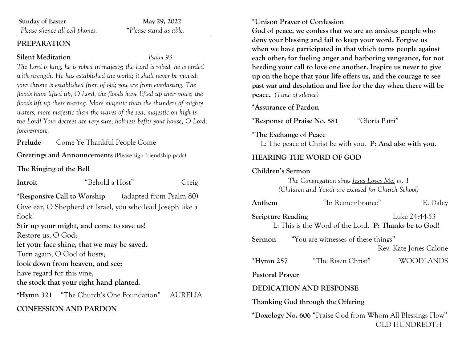| <b>Sunday of Easter</b>         | May 29, 2022           |
|---------------------------------|------------------------|
| Please silence all cell phones. | *Please stand as able. |

#### **PREPARATION**

#### **Silent Meditation** *Psalm 93*

*The Lord is king, he is robed in majesty; the Lord is robed, he is girded with strength. He has established the world; it shall never be moved; your throne is established from of old; you are from everlasting. The floods have lifted up, O Lord, the floods have lifted up their voice; the floods lift up their roaring. More majestic than the thunders of mighty waters, more majestic than the waves of the sea, majestic on high is the Lord! Your decrees are very sure; holiness befits your house, O Lord, forevermore.*

**Prelude** Come Ye Thankful People Come

**Greetings and Announcements** (Please sign friendship pads)

**The Ringing of the Bell**

| Introit                    | "Behold a Host"                                            | Greig |
|----------------------------|------------------------------------------------------------|-------|
|                            | <b>*Responsive Call to Worship</b> (adapted from Psalm 80) |       |
|                            | Give ear, O Shepherd of Israel, you who lead Joseph like a |       |
| flock!                     |                                                            |       |
|                            | Stir up your might, and come to save us!                   |       |
| Restore us, O God;         |                                                            |       |
|                            | let your face shine, that we may be saved.                 |       |
|                            | Turn again, O God of hosts;                                |       |
|                            | look down from heaven, and see;                            |       |
| have regard for this vine, |                                                            |       |
|                            | the stock that your right hand planted.                    |       |
|                            | *Hymn 321 "The Church's One Foundation"                    | AUREL |
|                            | ONFESSION AND PARDON                                       |       |

#### **\*Unison Prayer of Confession**

**God of peace, we confess that we are an anxious people who deny your blessing and fail to keep your word. Forgive us when we have participated in that which turns people against each other; for fueling anger and harboring vengeance, for not heeding your call to love one another. Inspire us never to give up on the hope that your life offers us, and the courage to see past war and desolation and live for the day when there will be peace.** *(Time of silence)*

**\*Assurance of Pardon**

**\*Response of Praise No. 581** "Gloria Patri"

**\*The Exchange of Peace**

L: The peace of Christ be with you. **P: And also with you.**

# **HEARING THE WORD OF GOD**

| Children's Sermon |
|-------------------|
|-------------------|

*The Congregation sings Jesus Loves Me! vs. 1 (Children and Youth are excused for Church School)*

| Anthem                   | "In Remembrance"                                            | E. Daley               |
|--------------------------|-------------------------------------------------------------|------------------------|
| <b>Scripture Reading</b> | L: This is the Word of the Lord. P: Thanks be to God!       | Luke 24:44-53          |
|                          | <b>Sermon</b> "You are witnesses of these things"           | Rev. Kate Jones Calone |
| $*Hymn 257$              | "The Risen Christ"                                          | <b>WOODLANDS</b>       |
| <b>Pastoral Prayer</b>   |                                                             |                        |
|                          | <b>DEDICATION AND RESPONSE</b>                              |                        |
|                          | Thanking God through the Offering                           |                        |
|                          | *Doxology No. 606 "Praise God from Whom All Blessings Flow" |                        |

OLD HUNDREDTH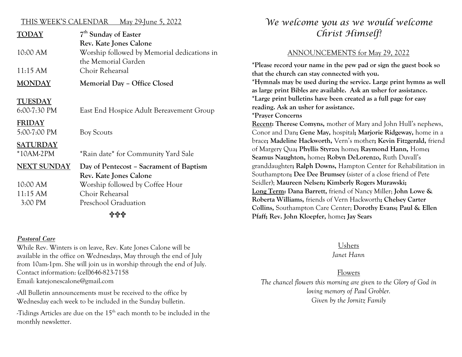#### THIS WEEK'S CALENDAR May 29-June 5, 2022

| TODAY           | 7 <sup>th</sup> Sunday of Easter            |  |
|-----------------|---------------------------------------------|--|
|                 | Rev. Kate Jones Calone                      |  |
| 10:00 AM        | Worship followed by Memorial dedications in |  |
|                 | the Memorial Garden                         |  |
| 11:15 AM        | Choir Rehearsal                             |  |
| <b>MONDAY</b>   | Memorial Day - Office Closed                |  |
| <b>TUESDAY</b>  |                                             |  |
| $6:00-7:30$ PM  | East End Hospice Adult Bereavement Group    |  |
| <b>FRIDAY</b>   |                                             |  |
| 5:00-7:00 PM    | <b>Boy Scouts</b>                           |  |
| <b>SATURDAY</b> |                                             |  |
| $*10AM-2PM$     | *Rain date* for Community Yard Sale         |  |
| NEXT SUNDAY     | Day of Pentecost – Sacrament of Baptism     |  |
|                 | Rev. Kate Jones Calone                      |  |
| 10:00 AM        | Worship followed by Coffee Hour             |  |
| $11:15$ AM      | Choir Rehearsal                             |  |
| 3:00 PM         | Preschool Graduation                        |  |
| 수수수             |                                             |  |

#### *Pastoral Care*

While Rev. Winters is on leave, Rev. Kate Jones Calone will be available in the office on Wednesdays, May through the end of July from 10am-1pm. She will join us in worship through the end of July. Contact information: (cell)646-823-7158 Email: katejonescalone@gmail.com

-All Bulletin announcements must be received to the office by Wednesday each week to be included in the Sunday bulletin.

-Tidings Articles are due on the 15th each month to be included in the monthly newsletter.

# *We welcome you as we would welcome Christ Himself!*

#### ANNOUNCEMENTS for May 29, 2022

**\*Please record your name in the pew pad or sign the guest book so that the church can stay connected with you. \*Hymnals may be used during the service. Large print hymns as well as large print Bibles are available. Ask an usher for assistance. \*Large print bulletins have been created as a full page for easy reading. Ask an usher for assistance. \*Prayer Concerns Recent: Therese Comyns,** mother of Mary and John Hull's nephews, Conor and Dan**; Gene May,** hospital**; Marjorie Ridgeway,** home in a brace**; Madeline Hackworth,** Vern's mother**; Kevin Fitzgerald,** friend of Margery Qua**; Phyllis Styrzo;** home**; Raymond Hann,** Home**; Seamus Naughton,** home**; Robyn DeLorenzo,** Ruth Duvall's granddaughter**; Ralph Downs,** Hampton Center for Rehabilitation in Southampton**; Dee Dee Brumsey** (sister of a close friend of Pete Seidler); **Maureen Nelsen; Kimberly Rogers Murawski; Long Term: Dana Barrett,** friend of Nancy Miller; **John Lowe & Roberta Williams,** friends of Vern Hackworth**; Chelsey Carter Collins,** Southampton Care Center; **Dorothy Evans; Paul & Ellen Pfaff; Rev. John Kloepfer,** home**; Jay Sears**

#### Ushers *Janet Hann*

#### Flowers

*The chancel flowers this morning are given to the Glory of God in loving memory of Paul Grobler. Given by the Jornitz Family*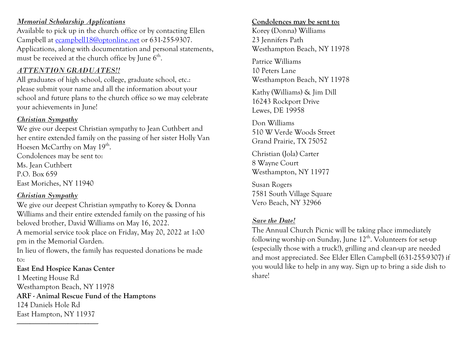### *Memorial Scholarship Applications*

Available to pick up in the church office or by contacting Ellen Campbell at [ecampbell18@optonline.net](mailto:ecampbell18@optonline.net) or 631-255-9307. Applications, along with documentation and personal statements, must be received at the church office by June  $6<sup>th</sup>$ .

#### *ATTENTION GRADUATES!!*

All graduates of high school, college, graduate school, etc.: please submit your name and all the information about your school and future plans to the church office so we may celebrate your achievements in June!

## *Christian Sympathy*

We give our deepest Christian sympathy to Jean Cuthbert and her entire extended family on the passing of her sister Holly Van Hoesen McCarthy on May 19<sup>th</sup>.

Condolences may be sent to: Ms. Jean Cuthbert P.O. Box 659 East Moriches, NY 11940

--------------------------------------------------------

# *Christian Sympathy*

We give our deepest Christian sympathy to Korey & Donna Williams and their entire extended family on the passing of his beloved brother, David Williams on May 16, 2022. A memorial service took place on Friday, May 20, 2022 at 1:00 pm in the Memorial Garden. In lieu of flowers, the family has requested donations be made to: **East End Hospice Kanas Center**

1 Meeting House Rd Westhampton Beach, NY 11978 **ARF - Animal Rescue Fund of the Hamptons** 124 Daniels Hole Rd East Hampton, NY 11937

#### **Condolences may be sent to:**

Korey (Donna) Williams 23 Jennifers Path Westhampton Beach, NY 11978

Patrice Williams 10 Peters Lane Westhampton Beach, NY 11978

Kathy (Williams) & Jim Dill 16243 Rockport Drive Lewes, DE 19958

Don Williams 510 W Verde Woods Street Grand Prairie, TX 75052

Christian (Jola) Carter 8 Wayne Court Westhampton, NY 11977

Susan Rogers 7581 South Village Square Vero Beach, NY 32966

# *Save the Date!*

The Annual Church Picnic will be taking place immediately following worship on Sunday, June  $12<sup>th</sup>$ . Volunteers for set-up (especially those with a truck!), grilling and clean-up are needed and most appreciated. See Elder Ellen Campbell (631-255-9307) if you would like to help in any way. Sign up to bring a side dish to share!